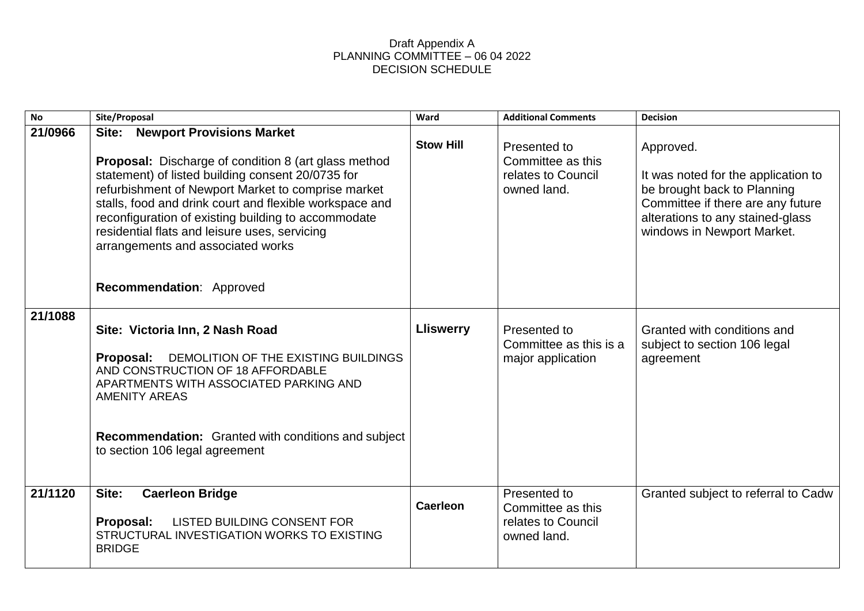## Draft Appendix A PLANNING COMMITTEE – 06 04 2022 DECISION SCHEDULE

| <b>No</b> | Site/Proposal                                                                                                                                                                                                                                                                                                                                                                                                                                           | Ward             | <b>Additional Comments</b>                                             | <b>Decision</b>                                                                                                                                                                        |
|-----------|---------------------------------------------------------------------------------------------------------------------------------------------------------------------------------------------------------------------------------------------------------------------------------------------------------------------------------------------------------------------------------------------------------------------------------------------------------|------------------|------------------------------------------------------------------------|----------------------------------------------------------------------------------------------------------------------------------------------------------------------------------------|
| 21/0966   | <b>Newport Provisions Market</b><br>Site:<br><b>Proposal:</b> Discharge of condition 8 (art glass method<br>statement) of listed building consent 20/0735 for<br>refurbishment of Newport Market to comprise market<br>stalls, food and drink court and flexible workspace and<br>reconfiguration of existing building to accommodate<br>residential flats and leisure uses, servicing<br>arrangements and associated works<br>Recommendation: Approved | <b>Stow Hill</b> | Presented to<br>Committee as this<br>relates to Council<br>owned land. | Approved.<br>It was noted for the application to<br>be brought back to Planning<br>Committee if there are any future<br>alterations to any stained-glass<br>windows in Newport Market. |
| 21/1088   | Site: Victoria Inn, 2 Nash Road<br><b>Proposal:</b> DEMOLITION OF THE EXISTING BUILDINGS<br>AND CONSTRUCTION OF 18 AFFORDABLE<br>APARTMENTS WITH ASSOCIATED PARKING AND<br><b>AMENITY AREAS</b><br><b>Recommendation:</b> Granted with conditions and subject<br>to section 106 legal agreement                                                                                                                                                         | <b>Lliswerry</b> | Presented to<br>Committee as this is a<br>major application            | Granted with conditions and<br>subject to section 106 legal<br>agreement                                                                                                               |
| 21/1120   | Site:<br><b>Caerleon Bridge</b><br>Proposal:<br>LISTED BUILDING CONSENT FOR<br>STRUCTURAL INVESTIGATION WORKS TO EXISTING<br><b>BRIDGE</b>                                                                                                                                                                                                                                                                                                              | <b>Caerleon</b>  | Presented to<br>Committee as this<br>relates to Council<br>owned land. | Granted subject to referral to Cadw                                                                                                                                                    |